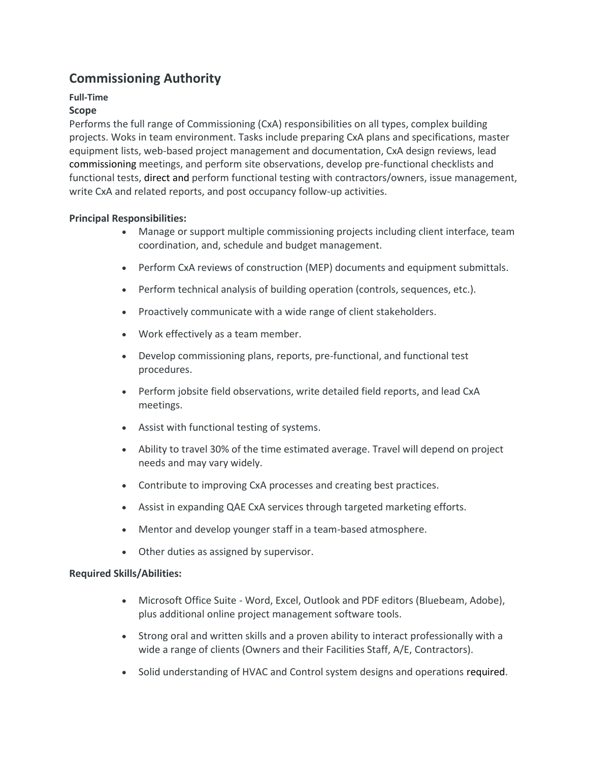# **Commissioning Authority**

## **Full-Time**

## **Scope**

Performs the full range of Commissioning (CxA) responsibilities on all types, complex building projects. Woks in team environment. Tasks include preparing CxA plans and specifications, master equipment lists, web-based project management and documentation, CxA design reviews, lead commissioning meetings, and perform site observations, develop pre-functional checklists and functional tests, direct and perform functional testing with contractors/owners, issue management, write CxA and related reports, and post occupancy follow-up activities.

### **Principal Responsibilities:**

- Manage or support multiple commissioning projects including client interface, team coordination, and, schedule and budget management.
- Perform CxA reviews of construction (MEP) documents and equipment submittals.
- Perform technical analysis of building operation (controls, sequences, etc.).
- Proactively communicate with a wide range of client stakeholders.
- Work effectively as a team member.
- Develop commissioning plans, reports, pre-functional, and functional test procedures.
- Perform jobsite field observations, write detailed field reports, and lead CxA meetings.
- Assist with functional testing of systems.
- Ability to travel 30% of the time estimated average. Travel will depend on project needs and may vary widely.
- Contribute to improving CxA processes and creating best practices.
- Assist in expanding QAE CxA services through targeted marketing efforts.
- Mentor and develop younger staff in a team-based atmosphere.
- Other duties as assigned by supervisor.

### **Required Skills/Abilities:**

- Microsoft Office Suite Word, Excel, Outlook and PDF editors (Bluebeam, Adobe), plus additional online project management software tools.
- Strong oral and written skills and a proven ability to interact professionally with a wide a range of clients (Owners and their Facilities Staff, A/E, Contractors).
- Solid understanding of HVAC and Control system designs and operations required.